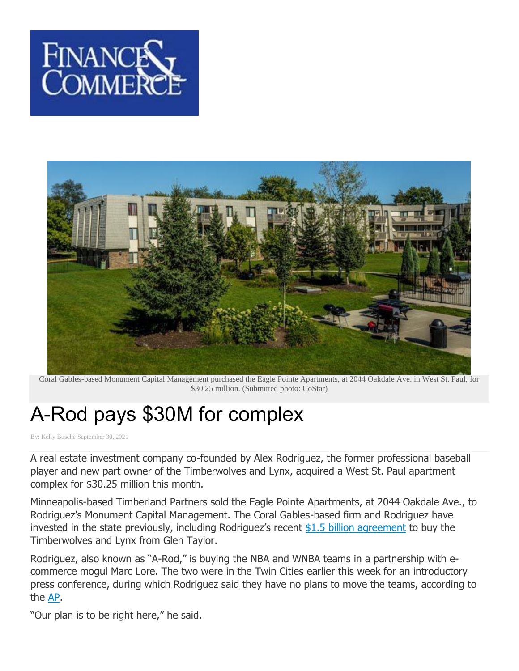



Coral Gables-based Monument Capital Management purchased the Eagle Pointe Apartments, at 2044 Oakdale Ave. in West St. Paul, for \$30.25 million. (Submitted photo: CoStar)

## A-Rod pays \$30M for complex

By: Kelly [Busche](https://finance-commerce.com/author/kellybusche/) September 30, 2021

A real estate investment company co-founded by Alex Rodriguez, the former professional baseball player and new part owner of the Timberwolves and Lynx, acquired a West St. Paul apartment complex for \$30.25 million this month.

Minneapolis-based Timberland Partners sold the Eagle Pointe Apartments, at 2044 Oakdale Ave., to Rodriguez's Monument Capital Management. The Coral Gables-based firm and Rodriguez have invested in the state previously, including Rodriguez's recent \$1.5 billion [agreement](https://apnews.com/article/nba-sports-basketball-minnesota-minnesota-timberwolves-82a42a23375a522884db154a39bfcc2c) to buy the Timberwolves and Lynx from Glen Taylor.

Rodriguez, also known as "A-Rod," is buying the NBA and WNBA teams in a partnership with ecommerce mogul Marc Lore. The two were in the Twin Cities earlier this week for an introductory press conference, during which Rodriguez said they have no plans to move the teams, according to the [AP.](https://apnews.com/article/nba-sports-basketball-minnesota-minnesota-timberwolves-82a42a23375a522884db154a39bfcc2c)

"Our plan is to be right here," he said.